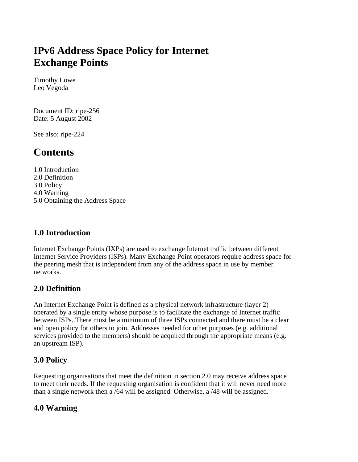# **IPv6 Address Space Policy for Internet Exchange Points**

Timothy Lowe Leo Vegoda

Document ID: ripe-256 Date: 5 August 2002

See also: ripe-224

## **Contents**

1.0 Introduction 2.0 Definition 3.0 Policy 4.0 Warning 5.0 Obtaining the Address Space

#### **1.0 Introduction**

Internet Exchange Points (IXPs) are used to exchange Internet traffic between different Internet Service Providers (ISPs). Many Exchange Point operators require address space for the peering mesh that is independent from any of the address space in use by member networks.

#### **2.0 Definition**

An Internet Exchange Point is defined as a physical network infrastructure (layer 2) operated by a single entity whose purpose is to facilitate the exchange of Internet traffic between ISPs. There must be a minimum of three ISPs connected and there must be a clear and open policy for others to join. Addresses needed for other purposes (e.g. additional services provided to the members) should be acquired through the appropriate means (e.g. an upstream ISP).

#### **3.0 Policy**

Requesting organisations that meet the definition in section 2.0 may receive address space to meet their needs. If the requesting organisation is confident that it will never need more than a single network then a /64 will be assigned. Otherwise, a /48 will be assigned.

#### **4.0 Warning**